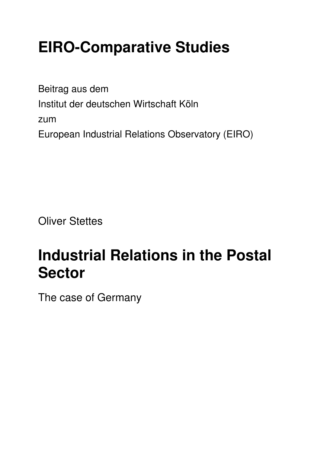# **EIRO-Comparative Studies**

Beitrag aus dem Institut der deutschen Wirtschaft Köln zum European Industrial Relations Observatory (EIRO)

Oliver Stettes

# **Industrial Relations in the Postal Sector**

The case of Germany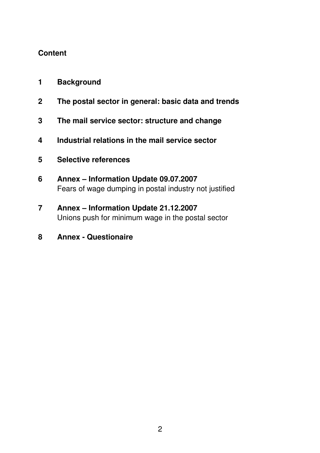### **Content**

- **1 Background**
- **2 The postal sector in general: basic data and trends**
- **3 The mail service sector: structure and change**
- **4 Industrial relations in the mail service sector**
- **5 Selective references**
- **6 Annex Information Update 09.07.2007**  Fears of wage dumping in postal industry not justified
- **7 Annex Information Update 21.12.2007**  Unions push for minimum wage in the postal sector
- **8 Annex Questionaire**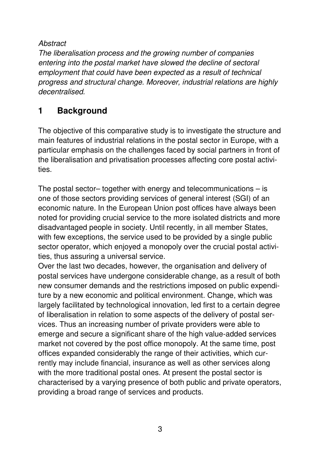### **Abstract**

The liberalisation process and the growing number of companies entering into the postal market have slowed the decline of sectoral employment that could have been expected as a result of technical progress and structural change. Moreover, industrial relations are highly decentralised.

# **1 Background**

The objective of this comparative study is to investigate the structure and main features of industrial relations in the postal sector in Europe, with a particular emphasis on the challenges faced by social partners in front of the liberalisation and privatisation processes affecting core postal activities.

The postal sector– together with energy and telecommunications – is one of those sectors providing services of general interest (SGI) of an economic nature. In the European Union post offices have always been noted for providing crucial service to the more isolated districts and more disadvantaged people in society. Until recently, in all member States, with few exceptions, the service used to be provided by a single public sector operator, which enjoyed a monopoly over the crucial postal activities, thus assuring a universal service.

Over the last two decades, however, the organisation and delivery of postal services have undergone considerable change, as a result of both new consumer demands and the restrictions imposed on public expenditure by a new economic and political environment. Change, which was largely facilitated by technological innovation, led first to a certain degree of liberalisation in relation to some aspects of the delivery of postal services. Thus an increasing number of private providers were able to emerge and secure a significant share of the high value-added services market not covered by the post office monopoly. At the same time, post offices expanded considerably the range of their activities, which currently may include financial, insurance as well as other services along with the more traditional postal ones. At present the postal sector is characterised by a varying presence of both public and private operators, providing a broad range of services and products.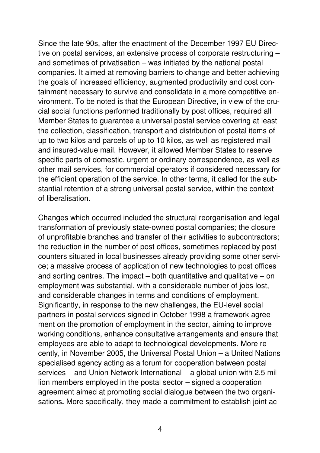Since the late 90s, after the enactment of the December 1997 EU Directive on postal services, an extensive process of corporate restructuring – and sometimes of privatisation – was initiated by the national postal companies. It aimed at removing barriers to change and better achieving the goals of increased efficiency, augmented productivity and cost containment necessary to survive and consolidate in a more competitive environment. To be noted is that the European Directive, in view of the crucial social functions performed traditionally by post offices, required all Member States to guarantee a universal postal service covering at least the collection, classification, transport and distribution of postal items of up to two kilos and parcels of up to 10 kilos, as well as registered mail and insured-value mail. However, it allowed Member States to reserve specific parts of domestic, urgent or ordinary correspondence, as well as other mail services, for commercial operators if considered necessary for the efficient operation of the service. In other terms, it called for the substantial retention of a strong universal postal service, within the context of liberalisation.

Changes which occurred included the structural reorganisation and legal transformation of previously state-owned postal companies; the closure of unprofitable branches and transfer of their activities to subcontractors; the reduction in the number of post offices, sometimes replaced by post counters situated in local businesses already providing some other service; a massive process of application of new technologies to post offices and sorting centres. The impact – both quantitative and qualitative – on employment was substantial, with a considerable number of jobs lost, and considerable changes in terms and conditions of employment. Significantly, in response to the new challenges, the EU-level social partners in postal services signed in October 1998 a framework agreement on the promotion of employment in the sector, aiming to improve working conditions, enhance consultative arrangements and ensure that employees are able to adapt to technological developments. More recently, in November 2005, the Universal Postal Union – a United Nations specialised agency acting as a forum for cooperation between postal services – and Union Network International – a global union with 2.5 million members employed in the postal sector – signed a cooperation agreement aimed at promoting social dialogue between the two organisations**.** More specifically, they made a commitment to establish joint ac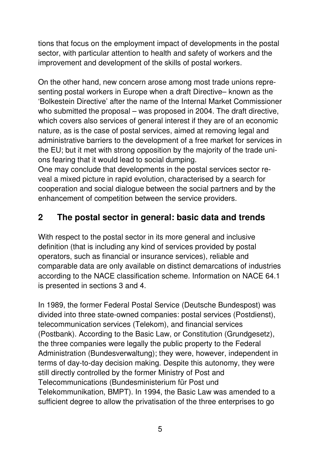tions that focus on the employment impact of developments in the postal sector, with particular attention to health and safety of workers and the improvement and development of the skills of postal workers.

On the other hand, new concern arose among most trade unions representing postal workers in Europe when a draft Directive– known as the 'Bolkestein Directive' after the name of the Internal Market Commissioner who submitted the proposal – was proposed in 2004. The draft directive, which covers also services of general interest if they are of an economic nature, as is the case of postal services, aimed at removing legal and administrative barriers to the development of a free market for services in the EU; but it met with strong opposition by the majority of the trade unions fearing that it would lead to social dumping.

One may conclude that developments in the postal services sector reveal a mixed picture in rapid evolution, characterised by a search for cooperation and social dialogue between the social partners and by the enhancement of competition between the service providers.

# **2 The postal sector in general: basic data and trends**

With respect to the postal sector in its more general and inclusive definition (that is including any kind of services provided by postal operators, such as financial or insurance services), reliable and comparable data are only available on distinct demarcations of industries according to the NACE classification scheme. Information on NACE 64.1 is presented in sections 3 and 4.

In 1989, the former Federal Postal Service (Deutsche Bundespost) was divided into three state-owned companies: postal services (Postdienst), telecommunication services (Telekom), and financial services (Postbank). According to the Basic Law, or Constitution (Grundgesetz), the three companies were legally the public property to the Federal Administration (Bundesverwaltung); they were, however, independent in terms of day-to-day decision making. Despite this autonomy, they were still directly controlled by the former Ministry of Post and Telecommunications (Bundesministerium für Post und Telekommunikation, BMPT). In 1994, the Basic Law was amended to a sufficient degree to allow the privatisation of the three enterprises to go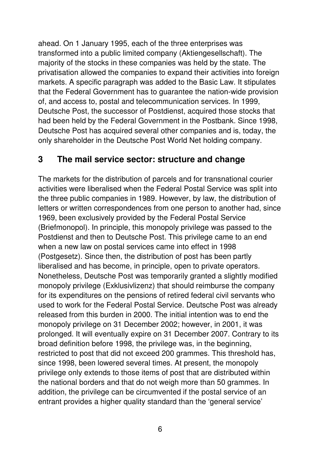ahead. On 1 January 1995, each of the three enterprises was transformed into a public limited company (Aktiengesellschaft). The majority of the stocks in these companies was held by the state. The privatisation allowed the companies to expand their activities into foreign markets. A specific paragraph was added to the Basic Law. It stipulates that the Federal Government has to guarantee the nation-wide provision of, and access to, postal and telecommunication services. In 1999, Deutsche Post, the successor of Postdienst, acquired those stocks that had been held by the Federal Government in the Postbank. Since 1998, Deutsche Post has acquired several other companies and is, today, the only shareholder in the Deutsche Post World Net holding company.

### **3 The mail service sector: structure and change**

The markets for the distribution of parcels and for transnational courier activities were liberalised when the Federal Postal Service was split into the three public companies in 1989. However, by law, the distribution of letters or written correspondences from one person to another had, since 1969, been exclusively provided by the Federal Postal Service (Briefmonopol). In principle, this monopoly privilege was passed to the Postdienst and then to Deutsche Post. This privilege came to an end when a new law on postal services came into effect in 1998 (Postgesetz). Since then, the distribution of post has been partly liberalised and has become, in principle, open to private operators. Nonetheless, Deutsche Post was temporarily granted a slightly modified monopoly privilege (Exklusivlizenz) that should reimburse the company for its expenditures on the pensions of retired federal civil servants who used to work for the Federal Postal Service. Deutsche Post was already released from this burden in 2000. The initial intention was to end the monopoly privilege on 31 December 2002; however, in 2001, it was prolonged. It will eventually expire on 31 December 2007. Contrary to its broad definition before 1998, the privilege was, in the beginning, restricted to post that did not exceed 200 grammes. This threshold has, since 1998, been lowered several times. At present, the monopoly privilege only extends to those items of post that are distributed within the national borders and that do not weigh more than 50 grammes. In addition, the privilege can be circumvented if the postal service of an entrant provides a higher quality standard than the 'general service'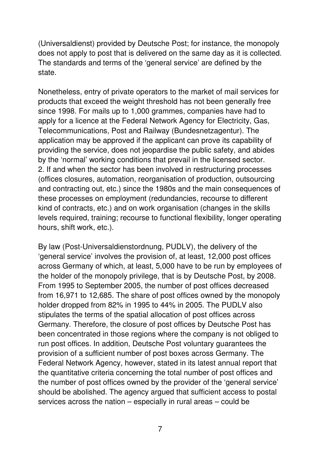(Universaldienst) provided by Deutsche Post; for instance, the monopoly does not apply to post that is delivered on the same day as it is collected. The standards and terms of the 'general service' are defined by the state.

Nonetheless, entry of private operators to the market of mail services for products that exceed the weight threshold has not been generally free since 1998. For mails up to 1,000 grammes, companies have had to apply for a licence at the Federal Network Agency for Electricity, Gas, Telecommunications, Post and Railway (Bundesnetzagentur). The application may be approved if the applicant can prove its capability of providing the service, does not jeopardise the public safety, and abides by the 'normal' working conditions that prevail in the licensed sector. 2. If and when the sector has been involved in restructuring processes (offices closures, automation, reorganisation of production, outsourcing and contracting out, etc.) since the 1980s and the main consequences of these processes on employment (redundancies, recourse to different kind of contracts, etc.) and on work organisation (changes in the skills levels required, training; recourse to functional flexibility, longer operating hours, shift work, etc.).

By law (Post-Universaldienstordnung, PUDLV), the delivery of the 'general service' involves the provision of, at least, 12,000 post offices across Germany of which, at least, 5,000 have to be run by employees of the holder of the monopoly privilege, that is by Deutsche Post, by 2008. From 1995 to September 2005, the number of post offices decreased from 16,971 to 12,685. The share of post offices owned by the monopoly holder dropped from 82% in 1995 to 44% in 2005. The PUDLV also stipulates the terms of the spatial allocation of post offices across Germany. Therefore, the closure of post offices by Deutsche Post has been concentrated in those regions where the company is not obliged to run post offices. In addition, Deutsche Post voluntary guarantees the provision of a sufficient number of post boxes across Germany. The Federal Network Agency, however, stated in its latest annual report that the quantitative criteria concerning the total number of post offices and the number of post offices owned by the provider of the 'general service' should be abolished. The agency argued that sufficient access to postal services across the nation – especially in rural areas – could be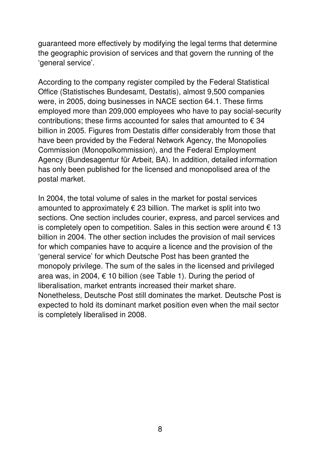guaranteed more effectively by modifying the legal terms that determine the geographic provision of services and that govern the running of the 'general service'.

According to the company register compiled by the Federal Statistical Office (Statistisches Bundesamt, Destatis), almost 9,500 companies were, in 2005, doing businesses in NACE section 64.1. These firms employed more than 209,000 employees who have to pay social-security contributions; these firms accounted for sales that amounted to  $\epsilon$  34 billion in 2005. Figures from Destatis differ considerably from those that have been provided by the Federal Network Agency, the Monopolies Commission (Monopolkommission), and the Federal Employment Agency (Bundesagentur für Arbeit, BA). In addition, detailed information has only been published for the licensed and monopolised area of the postal market.

In 2004, the total volume of sales in the market for postal services amounted to approximately  $\epsilon$  23 billion. The market is split into two sections. One section includes courier, express, and parcel services and is completely open to competition. Sales in this section were around  $\epsilon$  13 billion in 2004. The other section includes the provision of mail services for which companies have to acquire a licence and the provision of the 'general service' for which Deutsche Post has been granted the monopoly privilege. The sum of the sales in the licensed and privileged area was, in 2004,  $\epsilon$  10 billion (see Table 1). During the period of liberalisation, market entrants increased their market share. Nonetheless, Deutsche Post still dominates the market. Deutsche Post is expected to hold its dominant market position even when the mail sector is completely liberalised in 2008.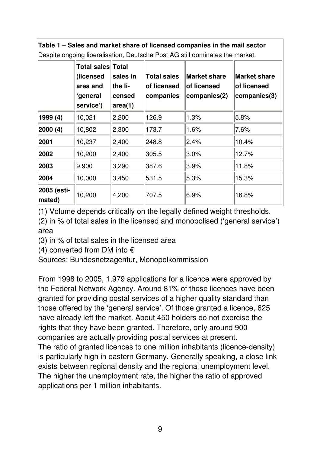**Table 1 – Sales and market share of licensed companies in the mail sector** Despite ongoing liberalisation, Deutsche Post AG still dominates the market.

|                       | <b>Total sales Total</b><br>(licensed<br>area and<br>'general<br>service') | sales in<br>the li-<br>censed<br> area(1) | <b>Total sales</b><br><b>of licensed</b><br>companies | <b>Market share</b><br>of licensed<br>companies(2) | <b>Market share</b><br>of licensed<br>companies(3) |
|-----------------------|----------------------------------------------------------------------------|-------------------------------------------|-------------------------------------------------------|----------------------------------------------------|----------------------------------------------------|
| 1999 (4)              | 10,021                                                                     | 2,200                                     | 126.9                                                 | 1.3%                                               | 5.8%                                               |
| 2000 (4)              | 10,802                                                                     | 2,300                                     | 173.7                                                 | 1.6%                                               | 7.6%                                               |
| 2001                  | 10,237                                                                     | 2,400                                     | 248.8                                                 | 2.4%                                               | 10.4%                                              |
| 2002                  | 10,200                                                                     | 2,400                                     | 305.5                                                 | $3.0\%$                                            | 12.7%                                              |
| 2003                  | 9,900                                                                      | 3,290                                     | 387.6                                                 | 3.9%                                               | 11.8%                                              |
| 2004                  | 10,000                                                                     | 3,450                                     | 531.5                                                 | 5.3%                                               | 15.3%                                              |
| 2005 (esti-<br>mated) | 10,200                                                                     | 4,200                                     | 707.5                                                 | 6.9%                                               | 16.8%                                              |

(1) Volume depends critically on the legally defined weight thresholds.

(2) in % of total sales in the licensed and monopolised ('general service') area

(3) in % of total sales in the licensed area

(4) converted from DM into  $\epsilon$ 

Sources: Bundesnetzagentur, Monopolkommission

From 1998 to 2005, 1,979 applications for a licence were approved by the Federal Network Agency. Around 81% of these licences have been granted for providing postal services of a higher quality standard than those offered by the 'general service'. Of those granted a licence, 625 have already left the market. About 450 holders do not exercise the rights that they have been granted. Therefore, only around 900 companies are actually providing postal services at present.

The ratio of granted licences to one million inhabitants (licence-density) is particularly high in eastern Germany. Generally speaking, a close link exists between regional density and the regional unemployment level. The higher the unemployment rate, the higher the ratio of approved applications per 1 million inhabitants.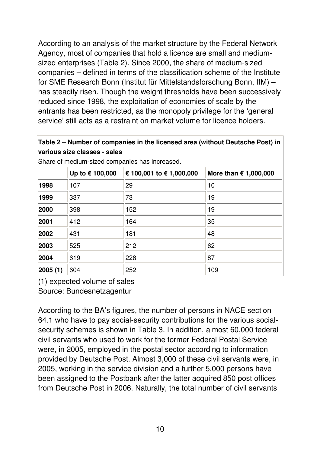According to an analysis of the market structure by the Federal Network Agency, most of companies that hold a licence are small and mediumsized enterprises (Table 2). Since 2000, the share of medium-sized companies – defined in terms of the classification scheme of the Institute for SME Research Bonn (Institut für Mittelstandsforschung Bonn, IfM) – has steadily risen. Though the weight thresholds have been successively reduced since 1998, the exploitation of economies of scale by the entrants has been restricted, as the monopoly privilege for the 'general service' still acts as a restraint on market volume for licence holders.

#### **Table 2 – Number of companies in the licensed area (without Deutsche Post) in various size classes - sales**

|         | Up to € 100,000 | € 100,001 to € 1,000,000 | More than $6,1,000,000$ |
|---------|-----------------|--------------------------|-------------------------|
| 1998    | 107             | 29                       | 10                      |
| 1999    | 337             | 73                       | 19                      |
| 2000    | 398             | 152                      | 19                      |
| 2001    | $ 412\rangle$   | 164                      | 35                      |
| 2002    | 431             | 181                      | 48                      |
| 2003    | 525             | 212                      | 62                      |
| 2004    | 619             | 228                      | 87                      |
| 2005(1) | 604             | 252                      | 109                     |

Share of medium-sized companies has increased.

(1) expected volume of sales

Source: Bundesnetzagentur

According to the BA's figures, the number of persons in NACE section 64.1 who have to pay social-security contributions for the various socialsecurity schemes is shown in Table 3. In addition, almost 60,000 federal civil servants who used to work for the former Federal Postal Service were, in 2005, employed in the postal sector according to information provided by Deutsche Post. Almost 3,000 of these civil servants were, in 2005, working in the service division and a further 5,000 persons have been assigned to the Postbank after the latter acquired 850 post offices from Deutsche Post in 2006. Naturally, the total number of civil servants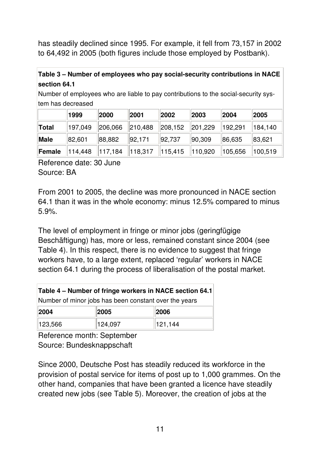has steadily declined since 1995. For example, it fell from 73,157 in 2002 to 64,492 in 2005 (both figures include those employed by Postbank).

### **Table 3 – Number of employees who pay social-security contributions in NACE section 64.1**

Number of employees who are liable to pay contributions to the social-security system has decreased

|             | 1999    | 2000          | 2001          | 2002           | 2003     | 2004    | 2005                |
|-------------|---------|---------------|---------------|----------------|----------|---------|---------------------|
| Total       | 197,049 | $\ 206,066\ $ | $\ 210,488\ $ | $\ 208, 152\ $ | 229, 201 | 192,291 | 184, 140            |
| <b>Male</b> | 82,601  | 88,882        | 92, 171       | 92,737         | 90,309   | 86,635  | 83,621              |
| Female      | 114,448 | 117.184       | $\ 118,317$   | $\ 115,415\ $  | 110,920  | 105,656 | $\parallel$ 100,519 |

Reference date: 30 June Source: BA

From 2001 to 2005, the decline was more pronounced in NACE section 64.1 than it was in the whole economy: minus 12.5% compared to minus 5.9%.

The level of employment in fringe or minor jobs (geringfügige Beschäftigung) has, more or less, remained constant since 2004 (see Table 4). In this respect, there is no evidence to suggest that fringe workers have, to a large extent, replaced 'regular' workers in NACE section 64.1 during the process of liberalisation of the postal market.

| Table 4 – Number of fringe workers in NACE section 64.1 |         |          |  |  |  |  |
|---------------------------------------------------------|---------|----------|--|--|--|--|
| Number of minor jobs has been constant over the years   |         |          |  |  |  |  |
| 2004                                                    | 2005    | 2006     |  |  |  |  |
| 123,566                                                 | 124,097 | 121, 144 |  |  |  |  |

Reference month: September Source: Bundesknappschaft

Since 2000, Deutsche Post has steadily reduced its workforce in the provision of postal service for items of post up to 1,000 grammes. On the other hand, companies that have been granted a licence have steadily created new jobs (see Table 5). Moreover, the creation of jobs at the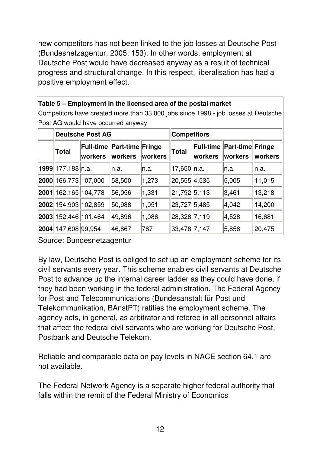new competitors has not been linked to the job losses at Deutsche Post (Bundesnetzagentur, 2005: 153). In other words, employment at Deutsche Post would have decreased anyway as a result of technical progress and structural change. In this respect, liberalisation has had a positive employment effect.

| Table 5 – Employment in the licensed area of the postal market |
|----------------------------------------------------------------|
|----------------------------------------------------------------|

Competitors have created more than 33,000 jobs since 1998 - job losses at Deutsche Post AG would have occurred anyway

|      | <b>Deutsche Post AG</b>     |                             |                             |         | <b>Competitors</b> |                             |                                    |         |
|------|-----------------------------|-----------------------------|-----------------------------|---------|--------------------|-----------------------------|------------------------------------|---------|
|      | Total                       | <b>Full-time</b><br>workers | Part-time Fringe<br>workers | workers | <b>Total</b>       | <b>Full-time</b><br>workers | <b>Part-time Fringe</b><br>workers | workers |
|      | <b>1999</b>   177,188  n.a. |                             | In.a.                       | n.a.    | 17,650 n.a.        |                             | In.a.                              | ∣n.a.   |
| 2000 |                             | 66,773 107,000              | 58,500                      | 1,273   | $ 20,555 $ 4,535   |                             | 5,005                              | 11,015  |
| 2001 |                             | 162,165 104,778             | 56,056                      | 1,331   | $21,792$ 5,113     |                             | 3,461                              | 13,218  |
|      |                             | 2002 154,903 102,859        | 50,988                      | 1,051   | 23,727 5,485       |                             | 4,042                              | 14,200  |
| 2003 |                             | 152,446 101,464             | 49,896                      | 1,086   | 28,328 7,119       |                             | 4,528                              | 16,681  |
|      | 2004 147,608 99,954         |                             | 46,867                      | 787     | 33,478 7,147       |                             | 5,856                              | 20,475  |

Source: Bundesnetzagentur

By law, Deutsche Post is obliged to set up an employment scheme for its civil servants every year. This scheme enables civil servants at Deutsche Post to advance up the internal career ladder as they could have done, if they had been working in the federal administration. The Federal Agency for Post and Telecommunications (Bundesanstalt für Post und Telekommunikation, BAnstPT) ratifies the employment scheme. The agency acts, in general, as arbitrator and referee in all personnel affairs that affect the federal civil servants who are working for Deutsche Post, Postbank and Deutsche Telekom.

Reliable and comparable data on pay levels in NACE section 64.1 are not available.

The Federal Network Agency is a separate higher federal authority that falls within the remit of the Federal Ministry of Economics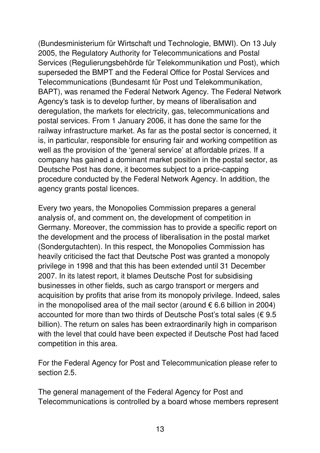(Bundesministerium für Wirtschaft und Technologie, BMWI). On 13 July 2005, the Regulatory Authority for Telecommunications and Postal Services (Regulierungsbehörde für Telekommunikation und Post), which superseded the BMPT and the Federal Office for Postal Services and Telecommunications (Bundesamt für Post und Telekommunikation, BAPT), was renamed the Federal Network Agency. The Federal Network Agency's task is to develop further, by means of liberalisation and deregulation, the markets for electricity, gas, telecommunications and postal services. From 1 January 2006, it has done the same for the railway infrastructure market. As far as the postal sector is concerned, it is, in particular, responsible for ensuring fair and working competition as well as the provision of the 'general service' at affordable prizes. If a company has gained a dominant market position in the postal sector, as Deutsche Post has done, it becomes subject to a price-capping procedure conducted by the Federal Network Agency. In addition, the agency grants postal licences.

Every two years, the Monopolies Commission prepares a general analysis of, and comment on, the development of competition in Germany. Moreover, the commission has to provide a specific report on the development and the process of liberalisation in the postal market (Sondergutachten). In this respect, the Monopolies Commission has heavily criticised the fact that Deutsche Post was granted a monopoly privilege in 1998 and that this has been extended until 31 December 2007. In its latest report, it blames Deutsche Post for subsidising businesses in other fields, such as cargo transport or mergers and acquisition by profits that arise from its monopoly privilege. Indeed, sales in the monopolised area of the mail sector (around  $\epsilon$  6.6 billion in 2004) accounted for more than two thirds of Deutsche Post's total sales ( $\epsilon$  9.5) billion). The return on sales has been extraordinarily high in comparison with the level that could have been expected if Deutsche Post had faced competition in this area.

For the Federal Agency for Post and Telecommunication please refer to section 2.5.

The general management of the Federal Agency for Post and Telecommunications is controlled by a board whose members represent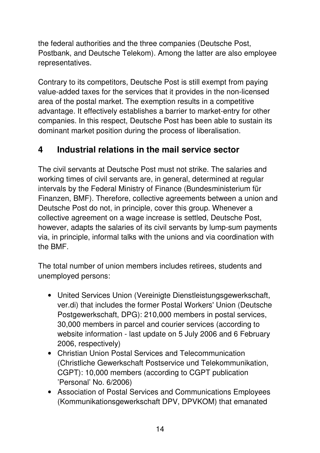the federal authorities and the three companies (Deutsche Post, Postbank, and Deutsche Telekom). Among the latter are also employee representatives.

Contrary to its competitors, Deutsche Post is still exempt from paying value-added taxes for the services that it provides in the non-licensed area of the postal market. The exemption results in a competitive advantage. It effectively establishes a barrier to market-entry for other companies. In this respect, Deutsche Post has been able to sustain its dominant market position during the process of liberalisation.

# **4 Industrial relations in the mail service sector**

The civil servants at Deutsche Post must not strike. The salaries and working times of civil servants are, in general, determined at regular intervals by the Federal Ministry of Finance (Bundesministerium für Finanzen, BMF). Therefore, collective agreements between a union and Deutsche Post do not, in principle, cover this group. Whenever a collective agreement on a wage increase is settled, Deutsche Post, however, adapts the salaries of its civil servants by lump-sum payments via, in principle, informal talks with the unions and via coordination with the BMF.

The total number of union members includes retirees, students and unemployed persons:

- United Services Union (Vereinigte Dienstleistungsgewerkschaft, ver.di) that includes the former Postal Workers' Union (Deutsche Postgewerkschaft, DPG): 210,000 members in postal services, 30,000 members in parcel and courier services (according to website information - last update on 5 July 2006 and 6 February 2006, respectively)
- Christian Union Postal Services and Telecommunication (Christliche Gewerkschaft Postservice und Telekommunikation, CGPT): 10,000 members (according to CGPT publication 'Personal' No. 6/2006)
- Association of Postal Services and Communications Employees (Kommunikationsgewerkschaft DPV, DPVKOM) that emanated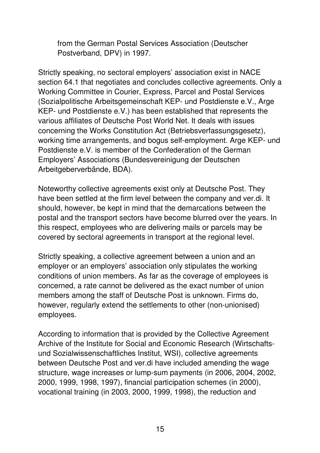from the German Postal Services Association (Deutscher Postverband, DPV) in 1997.

Strictly speaking, no sectoral employers' association exist in NACE section 64.1 that negotiates and concludes collective agreements. Only a Working Committee in Courier, Express, Parcel and Postal Services (Sozialpolitische Arbeitsgemeinschaft KEP- und Postdienste e.V., Arge KEP- und Postdienste e.V.) has been established that represents the various affiliates of Deutsche Post World Net. It deals with issues concerning the Works Constitution Act (Betriebsverfassungsgesetz), working time arrangements, and bogus self-employment. Arge KEP- und Postdienste e.V. is member of the Confederation of the German Employers' Associations (Bundesvereinigung der Deutschen Arbeitgeberverbände, BDA).

Noteworthy collective agreements exist only at Deutsche Post. They have been settled at the firm level between the company and ver.di. It should, however, be kept in mind that the demarcations between the postal and the transport sectors have become blurred over the years. In this respect, employees who are delivering mails or parcels may be covered by sectoral agreements in transport at the regional level.

Strictly speaking, a collective agreement between a union and an employer or an employers' association only stipulates the working conditions of union members. As far as the coverage of employees is concerned, a rate cannot be delivered as the exact number of union members among the staff of Deutsche Post is unknown. Firms do, however, regularly extend the settlements to other (non-unionised) employees.

According to information that is provided by the Collective Agreement Archive of the Institute for Social and Economic Research (Wirtschaftsund Sozialwissenschaftliches Institut, WSI), collective agreements between Deutsche Post and ver.di have included amending the wage structure, wage increases or lump-sum payments (in 2006, 2004, 2002, 2000, 1999, 1998, 1997), financial participation schemes (in 2000), vocational training (in 2003, 2000, 1999, 1998), the reduction and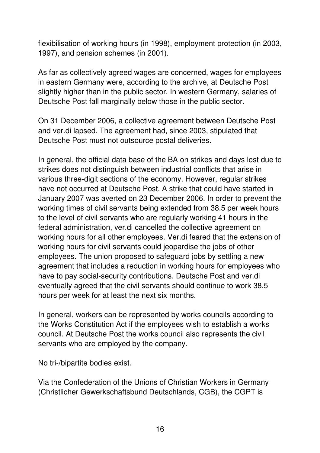flexibilisation of working hours (in 1998), employment protection (in 2003, 1997), and pension schemes (in 2001).

As far as collectively agreed wages are concerned, wages for employees in eastern Germany were, according to the archive, at Deutsche Post slightly higher than in the public sector. In western Germany, salaries of Deutsche Post fall marginally below those in the public sector.

On 31 December 2006, a collective agreement between Deutsche Post and ver.di lapsed. The agreement had, since 2003, stipulated that Deutsche Post must not outsource postal deliveries.

In general, the official data base of the BA on strikes and days lost due to strikes does not distinguish between industrial conflicts that arise in various three-digit sections of the economy. However, regular strikes have not occurred at Deutsche Post. A strike that could have started in January 2007 was averted on 23 December 2006. In order to prevent the working times of civil servants being extended from 38.5 per week hours to the level of civil servants who are regularly working 41 hours in the federal administration, ver.di cancelled the collective agreement on working hours for all other employees. Ver.di feared that the extension of working hours for civil servants could jeopardise the jobs of other employees. The union proposed to safeguard jobs by settling a new agreement that includes a reduction in working hours for employees who have to pay social-security contributions. Deutsche Post and ver.di eventually agreed that the civil servants should continue to work 38.5 hours per week for at least the next six months.

In general, workers can be represented by works councils according to the Works Constitution Act if the employees wish to establish a works council. At Deutsche Post the works council also represents the civil servants who are employed by the company.

No tri-/bipartite bodies exist.

Via the Confederation of the Unions of Christian Workers in Germany (Christlicher Gewerkschaftsbund Deutschlands, CGB), the CGPT is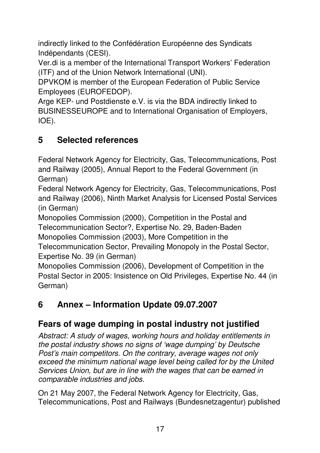indirectly linked to the Confédération Européenne des Syndicats Indépendants (CESI).

Ver.di is a member of the International Transport Workers' Federation (ITF) and of the Union Network International (UNI).

DPVKOM is member of the European Federation of Public Service Employees (EUROFEDOP).

Arge KEP- und Postdienste e.V. is via the BDA indirectly linked to BUSINESSEUROPE and to International Organisation of Employers, IOE).

# **5 Selected references**

Federal Network Agency for Electricity, Gas, Telecommunications, Post and Railway (2005), Annual Report to the Federal Government (in German)

Federal Network Agency for Electricity, Gas, Telecommunications, Post and Railway (2006), Ninth Market Analysis for Licensed Postal Services (in German)

Monopolies Commission (2000), Competition in the Postal and Telecommunication Sector?, Expertise No. 29, Baden-Baden Monopolies Commission (2003), More Competition in the

Telecommunication Sector, Prevailing Monopoly in the Postal Sector, Expertise No. 39 (in German)

Monopolies Commission (2006), Development of Competition in the Postal Sector in 2005: Insistence on Old Privileges, Expertise No. 44 (in German)

# **6 Annex – Information Update 09.07.2007**

# **Fears of wage dumping in postal industry not justified**

Abstract: A study of wages, working hours and holiday entitlements in the postal industry shows no signs of 'wage dumping' by Deutsche Post's main competitors. On the contrary, average wages not only exceed the minimum national wage level being called for by the United Services Union, but are in line with the wages that can be earned in comparable industries and jobs.

On 21 May 2007, the Federal Network Agency for Electricity, Gas, Telecommunications, Post and Railways (Bundesnetzagentur) published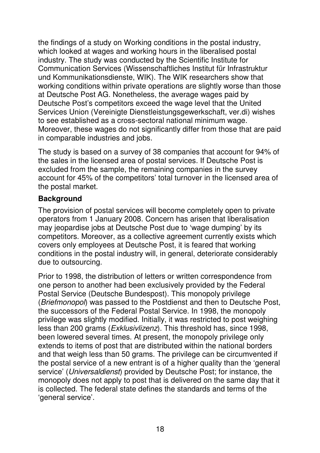the findings of a study on Working conditions in the postal industry, which looked at wages and working hours in the liberalised postal industry. The study was conducted by the Scientific Institute for Communication Services (Wissenschaftliches Institut für Infrastruktur und Kommunikationsdienste, WIK). The WIK researchers show that working conditions within private operations are slightly worse than those at Deutsche Post AG. Nonetheless, the average wages paid by Deutsche Post's competitors exceed the wage level that the United Services Union (Vereinigte Dienstleistungsgewerkschaft, ver.di) wishes to see established as a cross-sectoral national minimum wage. Moreover, these wages do not significantly differ from those that are paid in comparable industries and jobs.

The study is based on a survey of 38 companies that account for 94% of the sales in the licensed area of postal services. If Deutsche Post is excluded from the sample, the remaining companies in the survey account for 45% of the competitors' total turnover in the licensed area of the postal market.

### **Background**

The provision of postal services will become completely open to private operators from 1 January 2008. Concern has arisen that liberalisation may jeopardise jobs at Deutsche Post due to 'wage dumping' by its competitors. Moreover, as a collective agreement currently exists which covers only employees at Deutsche Post, it is feared that working conditions in the postal industry will, in general, deteriorate considerably due to outsourcing.

Prior to 1998, the distribution of letters or written correspondence from one person to another had been exclusively provided by the Federal Postal Service (Deutsche Bundespost). This monopoly privilege (Briefmonopol) was passed to the Postdienst and then to Deutsche Post, the successors of the Federal Postal Service. In 1998, the monopoly privilege was slightly modified. Initially, it was restricted to post weighing less than 200 grams (Exklusivlizenz). This threshold has, since 1998, been lowered several times. At present, the monopoly privilege only extends to items of post that are distributed within the national borders and that weigh less than 50 grams. The privilege can be circumvented if the postal service of a new entrant is of a higher quality than the 'general service' (Universaldienst) provided by Deutsche Post; for instance, the monopoly does not apply to post that is delivered on the same day that it is collected. The federal state defines the standards and terms of the 'general service'.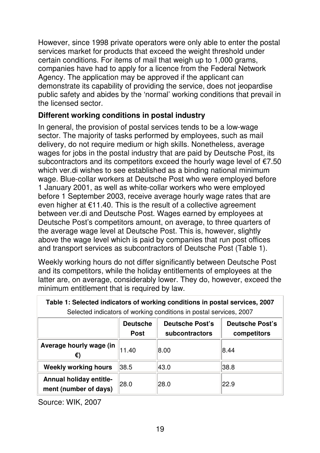However, since 1998 private operators were only able to enter the postal services market for products that exceed the weight threshold under certain conditions. For items of mail that weigh up to 1,000 grams, companies have had to apply for a licence from the Federal Network Agency. The application may be approved if the applicant can demonstrate its capability of providing the service, does not jeopardise public safety and abides by the 'normal' working conditions that prevail in the licensed sector.

### **Different working conditions in postal industry**

In general, the provision of postal services tends to be a low-wage sector. The majority of tasks performed by employees, such as mail delivery, do not require medium or high skills. Nonetheless, average wages for jobs in the postal industry that are paid by Deutsche Post, its subcontractors and its competitors exceed the hourly wage level of €7.50 which ver.di wishes to see established as a binding national minimum wage. Blue-collar workers at Deutsche Post who were employed before 1 January 2001, as well as white-collar workers who were employed before 1 September 2003, receive average hourly wage rates that are even higher at €11.40. This is the result of a collective agreement between ver.di and Deutsche Post. Wages earned by employees at Deutsche Post's competitors amount, on average, to three quarters of the average wage level at Deutsche Post. This is, however, slightly above the wage level which is paid by companies that run post offices and transport services as subcontractors of Deutsche Post (Table 1).

Weekly working hours do not differ significantly between Deutsche Post and its competitors, while the holiday entitlements of employees at the latter are, on average, considerably lower. They do, however, exceed the minimum entitlement that is required by law.

| Table 1: Selected indicators of working conditions in postal services, 2007<br>Selected indicators of working conditions in postal services, 2007 |                                |                                          |                                       |  |  |  |
|---------------------------------------------------------------------------------------------------------------------------------------------------|--------------------------------|------------------------------------------|---------------------------------------|--|--|--|
|                                                                                                                                                   | <b>Deutsche</b><br><b>Post</b> | <b>Deutsche Post's</b><br>subcontractors | <b>Deutsche Post's</b><br>competitors |  |  |  |
| Average hourly wage (in<br>€)                                                                                                                     | 11.40                          | 8.00                                     | 8.44                                  |  |  |  |
| <b>Weekly working hours</b>                                                                                                                       | 38.5                           | 43.0                                     | 38.8                                  |  |  |  |
| Annual holiday entitle-<br>ment (number of days)                                                                                                  | 28.0                           | 28.0                                     | 22.9                                  |  |  |  |

Source: WIK, 2007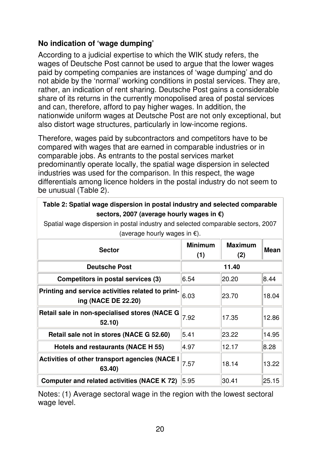### **No indication of 'wage dumping'**

According to a judicial expertise to which the WIK study refers, the wages of Deutsche Post cannot be used to argue that the lower wages paid by competing companies are instances of 'wage dumping' and do not abide by the 'normal' working conditions in postal services. They are, rather, an indication of rent sharing. Deutsche Post gains a considerable share of its returns in the currently monopolised area of postal services and can, therefore, afford to pay higher wages. In addition, the nationwide uniform wages at Deutsche Post are not only exceptional, but also distort wage structures, particularly in low-income regions.

Therefore, wages paid by subcontractors and competitors have to be compared with wages that are earned in comparable industries or in comparable jobs. As entrants to the postal services market predominantly operate locally, the spatial wage dispersion in selected industries was used for the comparison. In this respect, the wage differentials among licence holders in the postal industry do not seem to be unusual (Table 2).

| Table 2: Spatial wage dispersion in postal industry and selected comparable<br>sectors, 2007 (average hourly wages in $\epsilon$ ) |                       |                       |             |  |  |  |
|------------------------------------------------------------------------------------------------------------------------------------|-----------------------|-----------------------|-------------|--|--|--|
| Spatial wage dispersion in postal industry and selected comparable sectors, 2007                                                   |                       |                       |             |  |  |  |
| (average hourly wages in $\epsilon$ ).                                                                                             |                       |                       |             |  |  |  |
| <b>Sector</b>                                                                                                                      | <b>Minimum</b><br>(1) | <b>Maximum</b><br>(2) | <b>Mean</b> |  |  |  |
| <b>Deutsche Post</b>                                                                                                               |                       | 11.40                 |             |  |  |  |
| Competitors in postal services (3)                                                                                                 | 6.54                  | 20.20                 | 8.44        |  |  |  |
| Printing and service activities related to print-<br>ing (NACE DE 22.20)                                                           | 6.03                  | 23.70                 | 18.04       |  |  |  |
| Retail sale in non-specialised stores (NACE G<br>52.10)                                                                            | 7.92                  | 17.35                 | 12.86       |  |  |  |
| Retail sale not in stores (NACE G 52.60)                                                                                           | 5.41                  | 23.22                 | 14.95       |  |  |  |
| Hotels and restaurants (NACE H 55)                                                                                                 | 4.97                  | 12.17                 | 8.28        |  |  |  |
| <b>Activities of other transport agencies (NACE I</b><br>63.40)                                                                    | 7.57                  | 18.14                 | 13.22       |  |  |  |
| Computer and related activities (NACE K 72)                                                                                        | 5.95                  | 30.41                 | 25.15       |  |  |  |

Notes: (1) Average sectoral wage in the region with the lowest sectoral wage level.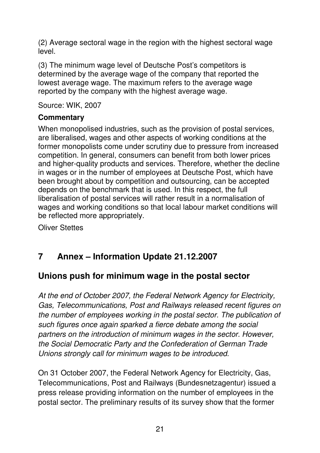(2) Average sectoral wage in the region with the highest sectoral wage level.

(3) The minimum wage level of Deutsche Post's competitors is determined by the average wage of the company that reported the lowest average wage. The maximum refers to the average wage reported by the company with the highest average wage.

Source: WIK, 2007

### **Commentary**

When monopolised industries, such as the provision of postal services, are liberalised, wages and other aspects of working conditions at the former monopolists come under scrutiny due to pressure from increased competition. In general, consumers can benefit from both lower prices and higher-quality products and services. Therefore, whether the decline in wages or in the number of employees at Deutsche Post, which have been brought about by competition and outsourcing, can be accepted depends on the benchmark that is used. In this respect, the full liberalisation of postal services will rather result in a normalisation of wages and working conditions so that local labour market conditions will be reflected more appropriately.

Oliver Stettes

# **7 Annex – Information Update 21.12.2007**

### **Unions push for minimum wage in the postal sector**

At the end of October 2007, the Federal Network Agency for Electricity, Gas, Telecommunications, Post and Railways released recent figures on the number of employees working in the postal sector. The publication of such figures once again sparked a fierce debate among the social partners on the introduction of minimum wages in the sector. However, the Social Democratic Party and the Confederation of German Trade Unions strongly call for minimum wages to be introduced.

On 31 October 2007, the Federal Network Agency for Electricity, Gas, Telecommunications, Post and Railways (Bundesnetzagentur) issued a press release providing information on the number of employees in the postal sector. The preliminary results of its survey show that the former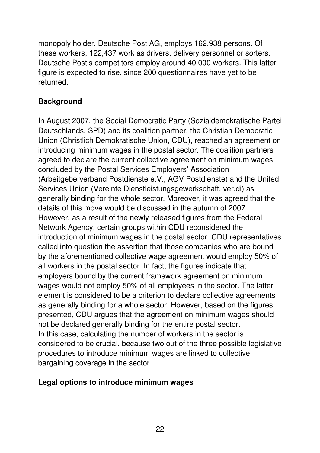monopoly holder, Deutsche Post AG, employs 162,938 persons. Of these workers, 122,437 work as drivers, delivery personnel or sorters. Deutsche Post's competitors employ around 40,000 workers. This latter figure is expected to rise, since 200 questionnaires have yet to be returned.

### **Background**

In August 2007, the Social Democratic Party (Sozialdemokratische Partei Deutschlands, SPD) and its coalition partner, the Christian Democratic Union (Christlich Demokratische Union, CDU), reached an agreement on introducing minimum wages in the postal sector. The coalition partners agreed to declare the current collective agreement on minimum wages concluded by the Postal Services Employers' Association (Arbeitgeberverband Postdienste e.V., AGV Postdienste) and the United Services Union (Vereinte Dienstleistungsgewerkschaft, ver.di) as generally binding for the whole sector. Moreover, it was agreed that the details of this move would be discussed in the autumn of 2007. However, as a result of the newly released figures from the Federal Network Agency, certain groups within CDU reconsidered the introduction of minimum wages in the postal sector. CDU representatives called into question the assertion that those companies who are bound by the aforementioned collective wage agreement would employ 50% of all workers in the postal sector. In fact, the figures indicate that employers bound by the current framework agreement on minimum wages would not employ 50% of all employees in the sector. The latter element is considered to be a criterion to declare collective agreements as generally binding for a whole sector. However, based on the figures presented, CDU argues that the agreement on minimum wages should not be declared generally binding for the entire postal sector. In this case, calculating the number of workers in the sector is considered to be crucial, because two out of the three possible legislative procedures to introduce minimum wages are linked to collective bargaining coverage in the sector.

### **Legal options to introduce minimum wages**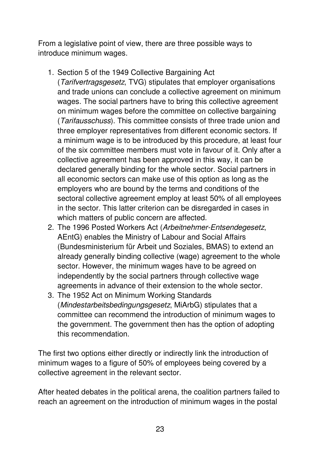From a legislative point of view, there are three possible ways to introduce minimum wages.

- 1. Section 5 of the 1949 Collective Bargaining Act (Tarifvertragsgesetz, TVG) stipulates that employer organisations and trade unions can conclude a collective agreement on minimum wages. The social partners have to bring this collective agreement on minimum wages before the committee on collective bargaining (Tarifausschuss). This committee consists of three trade union and three employer representatives from different economic sectors. If a minimum wage is to be introduced by this procedure, at least four of the six committee members must vote in favour of it. Only after a collective agreement has been approved in this way, it can be declared generally binding for the whole sector. Social partners in all economic sectors can make use of this option as long as the employers who are bound by the terms and conditions of the sectoral collective agreement employ at least 50% of all employees in the sector. This latter criterion can be disregarded in cases in which matters of public concern are affected.
- 2. The 1996 Posted Workers Act (Arbeitnehmer-Entsendegesetz, AEntG) enables the Ministry of Labour and Social Affairs (Bundesministerium für Arbeit und Soziales, BMAS) to extend an already generally binding collective (wage) agreement to the whole sector. However, the minimum wages have to be agreed on independently by the social partners through collective wage agreements in advance of their extension to the whole sector.
- 3. The 1952 Act on Minimum Working Standards (Mindestarbeitsbedingungsgesetz, MiArbG) stipulates that a committee can recommend the introduction of minimum wages to the government. The government then has the option of adopting this recommendation.

The first two options either directly or indirectly link the introduction of minimum wages to a figure of 50% of employees being covered by a collective agreement in the relevant sector.

After heated debates in the political arena, the coalition partners failed to reach an agreement on the introduction of minimum wages in the postal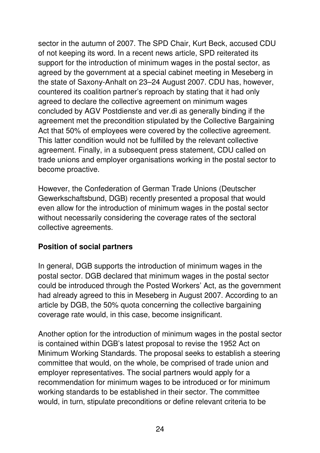sector in the autumn of 2007. The SPD Chair, Kurt Beck, accused CDU of not keeping its word. In a recent news article, SPD reiterated its support for the introduction of minimum wages in the postal sector, as agreed by the government at a special cabinet meeting in Meseberg in the state of Saxony-Anhalt on 23–24 August 2007. CDU has, however, countered its coalition partner's reproach by stating that it had only agreed to declare the collective agreement on minimum wages concluded by AGV Postdienste and ver.di as generally binding if the agreement met the precondition stipulated by the Collective Bargaining Act that 50% of employees were covered by the collective agreement. This latter condition would not be fulfilled by the relevant collective agreement. Finally, in a subsequent press statement, CDU called on trade unions and employer organisations working in the postal sector to become proactive.

However, the Confederation of German Trade Unions (Deutscher Gewerkschaftsbund, DGB) recently presented a proposal that would even allow for the introduction of minimum wages in the postal sector without necessarily considering the coverage rates of the sectoral collective agreements.

### **Position of social partners**

In general, DGB supports the introduction of minimum wages in the postal sector. DGB declared that minimum wages in the postal sector could be introduced through the Posted Workers' Act, as the government had already agreed to this in Meseberg in August 2007. According to an article by DGB, the 50% quota concerning the collective bargaining coverage rate would, in this case, become insignificant.

Another option for the introduction of minimum wages in the postal sector is contained within DGB's latest proposal to revise the 1952 Act on Minimum Working Standards. The proposal seeks to establish a steering committee that would, on the whole, be comprised of trade union and employer representatives. The social partners would apply for a recommendation for minimum wages to be introduced or for minimum working standards to be established in their sector. The committee would, in turn, stipulate preconditions or define relevant criteria to be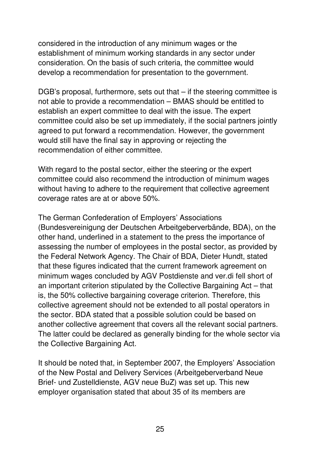considered in the introduction of any minimum wages or the establishment of minimum working standards in any sector under consideration. On the basis of such criteria, the committee would develop a recommendation for presentation to the government.

DGB's proposal, furthermore, sets out that  $-$  if the steering committee is not able to provide a recommendation – BMAS should be entitled to establish an expert committee to deal with the issue. The expert committee could also be set up immediately, if the social partners jointly agreed to put forward a recommendation. However, the government would still have the final say in approving or rejecting the recommendation of either committee.

With regard to the postal sector, either the steering or the expert committee could also recommend the introduction of minimum wages without having to adhere to the requirement that collective agreement coverage rates are at or above 50%.

The German Confederation of Employers' Associations (Bundesvereinigung der Deutschen Arbeitgeberverbände, BDA), on the other hand, underlined in a statement to the press the importance of assessing the number of employees in the postal sector, as provided by the Federal Network Agency. The Chair of BDA, Dieter Hundt, stated that these figures indicated that the current framework agreement on minimum wages concluded by AGV Postdienste and ver.di fell short of an important criterion stipulated by the Collective Bargaining Act – that is, the 50% collective bargaining coverage criterion. Therefore, this collective agreement should not be extended to all postal operators in the sector. BDA stated that a possible solution could be based on another collective agreement that covers all the relevant social partners. The latter could be declared as generally binding for the whole sector via the Collective Bargaining Act.

It should be noted that, in September 2007, the Employers' Association of the New Postal and Delivery Services (Arbeitgeberverband Neue Brief- und Zustelldienste, AGV neue BuZ) was set up. This new employer organisation stated that about 35 of its members are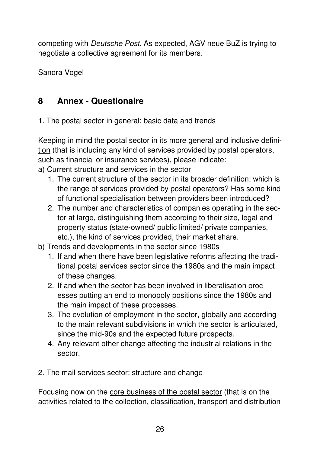competing with Deutsche Post. As expected, AGV neue BuZ is trying to negotiate a collective agreement for its members.

Sandra Vogel

# **8 Annex - Questionaire**

1. The postal sector in general: basic data and trends

Keeping in mind the postal sector in its more general and inclusive definition (that is including any kind of services provided by postal operators, such as financial or insurance services), please indicate:

a) Current structure and services in the sector

- 1. The current structure of the sector in its broader definition: which is the range of services provided by postal operators? Has some kind of functional specialisation between providers been introduced?
- 2. The number and characteristics of companies operating in the sector at large, distinguishing them according to their size, legal and property status (state-owned/ public limited/ private companies, etc.), the kind of services provided, their market share.
- b) Trends and developments in the sector since 1980s
	- 1. If and when there have been legislative reforms affecting the traditional postal services sector since the 1980s and the main impact of these changes.
	- 2. If and when the sector has been involved in liberalisation processes putting an end to monopoly positions since the 1980s and the main impact of these processes.
	- 3. The evolution of employment in the sector, globally and according to the main relevant subdivisions in which the sector is articulated, since the mid-90s and the expected future prospects.
	- 4. Any relevant other change affecting the industrial relations in the sector.
- 2. The mail services sector: structure and change

Focusing now on the core business of the postal sector (that is on the activities related to the collection, classification, transport and distribution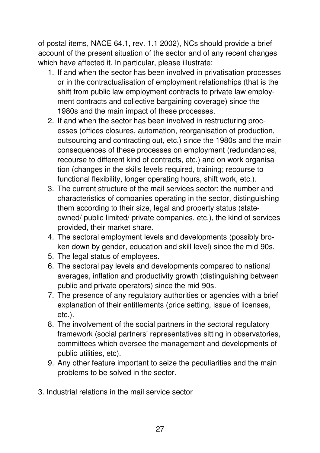of postal items, NACE 64.1, rev. 1.1 2002), NCs should provide a brief account of the present situation of the sector and of any recent changes which have affected it. In particular, please illustrate:

- 1. If and when the sector has been involved in privatisation processes or in the contractualisation of employment relationships (that is the shift from public law employment contracts to private law employment contracts and collective bargaining coverage) since the 1980s and the main impact of these processes.
- 2. If and when the sector has been involved in restructuring processes (offices closures, automation, reorganisation of production, outsourcing and contracting out, etc.) since the 1980s and the main consequences of these processes on employment (redundancies, recourse to different kind of contracts, etc.) and on work organisation (changes in the skills levels required, training; recourse to functional flexibility, longer operating hours, shift work, etc.).
- 3. The current structure of the mail services sector: the number and characteristics of companies operating in the sector, distinguishing them according to their size, legal and property status (stateowned/ public limited/ private companies, etc.), the kind of services provided, their market share.
- 4. The sectoral employment levels and developments (possibly broken down by gender, education and skill level) since the mid-90s.
- 5. The legal status of employees.
- 6. The sectoral pay levels and developments compared to national averages, inflation and productivity growth (distinguishing between public and private operators) since the mid-90s.
- 7. The presence of any regulatory authorities or agencies with a brief explanation of their entitlements (price setting, issue of licenses, etc.).
- 8. The involvement of the social partners in the sectoral regulatory framework (social partners' representatives sitting in observatories, committees which oversee the management and developments of public utilities, etc).
- 9. Any other feature important to seize the peculiarities and the main problems to be solved in the sector.
- 3. Industrial relations in the mail service sector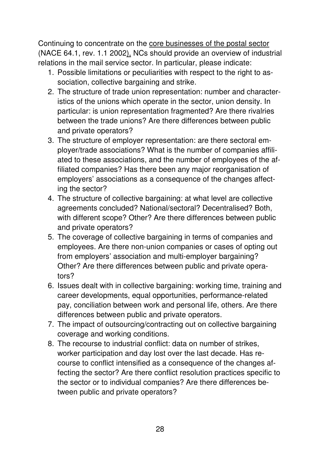Continuing to concentrate on the core businesses of the postal sector (NACE 64.1, rev. 1.1 2002), NCs should provide an overview of industrial relations in the mail service sector. In particular, please indicate:

- 1. Possible limitations or peculiarities with respect to the right to association, collective bargaining and strike.
- 2. The structure of trade union representation: number and characteristics of the unions which operate in the sector, union density. In particular: is union representation fragmented? Are there rivalries between the trade unions? Are there differences between public and private operators?
- 3. The structure of employer representation: are there sectoral employer/trade associations? What is the number of companies affiliated to these associations, and the number of employees of the affiliated companies? Has there been any major reorganisation of employers' associations as a consequence of the changes affecting the sector?
- 4. The structure of collective bargaining: at what level are collective agreements concluded? National/sectoral? Decentralised? Both, with different scope? Other? Are there differences between public and private operators?
- 5. The coverage of collective bargaining in terms of companies and employees. Are there non-union companies or cases of opting out from employers' association and multi-employer bargaining? Other? Are there differences between public and private operators?
- 6. Issues dealt with in collective bargaining: working time, training and career developments, equal opportunities, performance-related pay, conciliation between work and personal life, others. Are there differences between public and private operators.
- 7. The impact of outsourcing/contracting out on collective bargaining coverage and working conditions.
- 8. The recourse to industrial conflict: data on number of strikes, worker participation and day lost over the last decade. Has recourse to conflict intensified as a consequence of the changes affecting the sector? Are there conflict resolution practices specific to the sector or to individual companies? Are there differences between public and private operators?